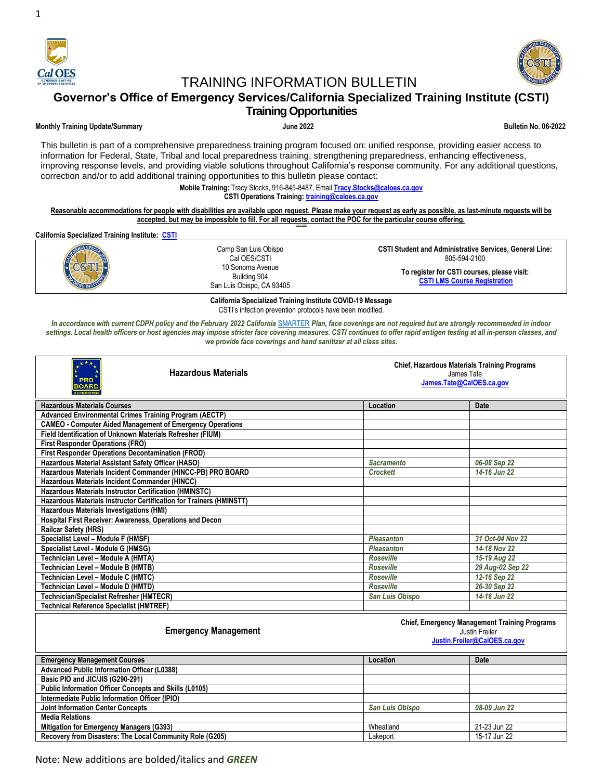

1

# TRAINING INFORMATION BULLETIN



**Governor's Office of Emergency Services/California Specialized Training Institute (CSTI)**

## **Training Opportunities**

## **Monthly Training Update/Summary June 2022 Bulletin No. 06-2022**

This bulletin is part of a comprehensive preparedness training program focused on: unified response, providing easier access to information for Federal, State, Tribal and local preparedness training, strengthening preparedness, enhancing effectiveness, improving response levels, and providing viable solutions throughout California's response community. For any additional questions, correction and/or to add additional training opportunities to this bulletin please contact:

> **Mobile Training:** Tracy Stocks, 916-845-8487, Email **[Tracy.Stocks@caloes.ca.gov](mailto:Tracy.Stocks@caloes.ca.gov) CSTI Operations Training: [training@caloes.ca.gov](mailto:training@caloes.ca.gov)**

**Reasonable accommodations for people with disabilities are available upon request. Please make your request as early as possible, as last-minute requests will be accepted, but may be impossible to fill. For all requests, contact the POC for the particular course offering.**

**California Specialized Training Institute: [CSTI](http://www.caloes.ca.gov/Cal-OES-Divisions/California-Specialized-Training-Institute)**



**California Specialized Training Institute COVID-19 Message** CSTI's infection prevention protocols have been modified.

In accordance with current CDPH policy and the February 2022 California [SMARTER](https://www.cdph.ca.gov/Programs/CID/DCDC/Pages/COVID-19/smarter-plan-QA.aspx#:~:text=February%2017%2C%202022%20What%20is%20the%20SMARTER%20Plan%3F,remain%20prepared%20for%20what%20COVID-19%20might%20bring%20next.) Plan, face coverings are not required but are strongly recommended in indoor *settings. Local health officers or host agencies may impose stricter face covering measures. CSTI continues to offer rapid antigen testing at all in-person classes, and we provide face coverings and hand sanitizer at all class sites.*

| <b>Hazardous Materials</b><br><b>PRO</b><br><b>BOARD</b><br>COREDITED | <b>Chief, Hazardous Materials Training Programs</b><br>James Tate<br>James.Tate@CalOES.ca.gov |                                                                        |
|-----------------------------------------------------------------------|-----------------------------------------------------------------------------------------------|------------------------------------------------------------------------|
| <b>Hazardous Materials Courses</b>                                    | Location                                                                                      | <b>Date</b>                                                            |
| <b>Advanced Environmental Crimes Training Program (AECTP)</b>         |                                                                                               |                                                                        |
| <b>CAMEO - Computer Aided Management of Emergency Operations</b>      |                                                                                               |                                                                        |
| Field Identification of Unknown Materials Refresher (FIUM)            |                                                                                               |                                                                        |
| <b>First Responder Operations (FRO)</b>                               |                                                                                               |                                                                        |
| <b>First Responder Operations Decontamination (FROD)</b>              |                                                                                               |                                                                        |
| Hazardous Material Assistant Safety Officer (HASO)                    | <b>Sacramento</b>                                                                             | 06-08 Sep 22                                                           |
| Hazardous Materials Incident Commander (HINCC-PB) PRO BOARD           | <b>Crockett</b>                                                                               | 14-16 Jun 22                                                           |
| Hazardous Materials Incident Commander (HINCC)                        |                                                                                               |                                                                        |
| Hazardous Materials Instructor Certification (HMINSTC)                |                                                                                               |                                                                        |
| Hazardous Materials Instructor Certification for Trainers (HMINSTT)   |                                                                                               |                                                                        |
| Hazardous Materials Investigations (HMI)                              |                                                                                               |                                                                        |
| Hospital First Receiver: Awareness, Operations and Decon              |                                                                                               |                                                                        |
| Railcar Safety (HRS)                                                  |                                                                                               |                                                                        |
| Specialist Level - Module F (HMSF)                                    | <b>Pleasanton</b>                                                                             | 31 Oct-04 Nov 22                                                       |
| Specialist Level - Module G (HMSG)                                    | <b>Pleasanton</b>                                                                             | 14-18 Nov 22                                                           |
| Technician Level - Module A (HMTA)                                    | <b>Roseville</b>                                                                              | 15-19 Aug 22                                                           |
| Technician Level - Module B (HMTB)                                    | <b>Roseville</b>                                                                              | 29 Aug-02 Sep 22                                                       |
| Technician Level – Module C (HMTC)                                    | <b>Roseville</b>                                                                              | 12-16 Sep 22                                                           |
| Technician Level – Module D (HMTD)                                    | <b>Roseville</b>                                                                              | 26-30 Sep 22                                                           |
| Technician/Specialist Refresher (HMTECR)                              | San Luis Obispo                                                                               | 14-16 Jun 22                                                           |
| <b>Technical Reference Specialist (HMTREF)</b>                        |                                                                                               |                                                                        |
| <b>Emergency Management</b>                                           |                                                                                               | <b>Chief, Emergency Management Training Programs</b><br>Justin Freiler |

#### **Emergency Management**

**Justin.Freiler@CalOES.ca.gov**

| <b>Emergency Management Courses</b>                           | Location               | Date         |
|---------------------------------------------------------------|------------------------|--------------|
| <b>Advanced Public Information Officer (L0388)</b>            |                        |              |
| Basic PIO and JIC/JIS (G290-291)                              |                        |              |
| <b>Public Information Officer Concepts and Skills (L0105)</b> |                        |              |
| Intermediate Public Information Officer (IPIO)                |                        |              |
| <b>Joint Information Center Concepts</b>                      | <b>San Luis Obispo</b> | 08-09 Jun 22 |
| <b>Media Relations</b>                                        |                        |              |
| <b>Mitigation for Emergency Managers (G393)</b>               | Wheatland              | 21-23 Jun 22 |
| Recovery from Disasters: The Local Community Role (G205)      | Lakeport               | 15-17 Jun 22 |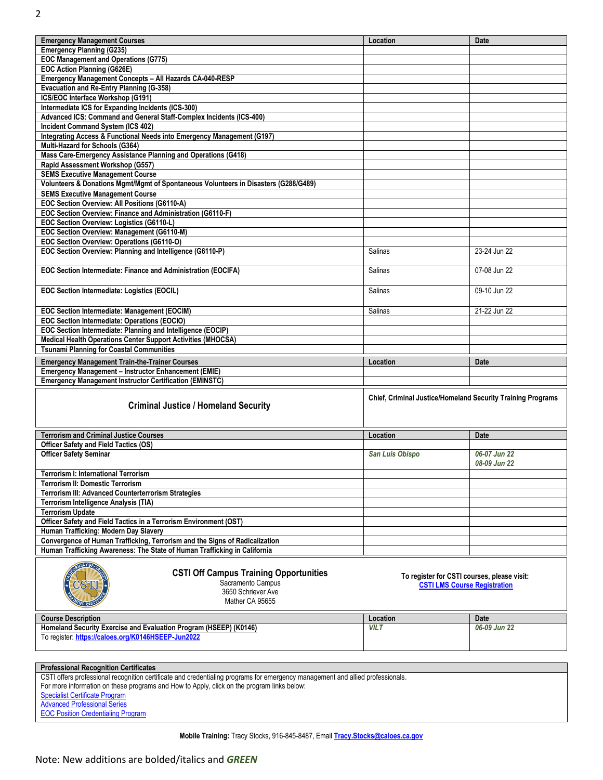| <b>Emergency Management Courses</b>                                                                                            | Location                                                    | <b>Date</b>  |
|--------------------------------------------------------------------------------------------------------------------------------|-------------------------------------------------------------|--------------|
| <b>Emergency Planning (G235)</b>                                                                                               |                                                             |              |
| <b>EOC Management and Operations (G775)</b>                                                                                    |                                                             |              |
| EOC Action Planning (G626E)                                                                                                    |                                                             |              |
| Emergency Management Concepts - All Hazards CA-040-RESP                                                                        |                                                             |              |
| Evacuation and Re-Entry Planning (G-358)                                                                                       |                                                             |              |
| ICS/EOC Interface Workshop (G191)                                                                                              |                                                             |              |
| Intermediate ICS for Expanding Incidents (ICS-300)                                                                             |                                                             |              |
| Advanced ICS: Command and General Staff-Complex Incidents (ICS-400)                                                            |                                                             |              |
| <b>Incident Command System (ICS 402)</b>                                                                                       |                                                             |              |
| Integrating Access & Functional Needs into Emergency Management (G197)                                                         |                                                             |              |
| Multi-Hazard for Schools (G364)                                                                                                |                                                             |              |
| Mass Care-Emergency Assistance Planning and Operations (G418)                                                                  |                                                             |              |
| Rapid Assessment Workshop (G557)                                                                                               |                                                             |              |
| <b>SEMS Executive Management Course</b>                                                                                        |                                                             |              |
| Volunteers & Donations Mgmt/Mgmt of Spontaneous Volunteers in Disasters (G288/G489)                                            |                                                             |              |
| <b>SEMS Executive Management Course</b>                                                                                        |                                                             |              |
| EOC Section Overview: All Positions (G6110-A)                                                                                  |                                                             |              |
| EOC Section Overview: Finance and Administration (G6110-F)                                                                     |                                                             |              |
| EOC Section Overview: Logistics (G6110-L)                                                                                      |                                                             |              |
| EOC Section Overview: Management (G6110-M)                                                                                     |                                                             |              |
| EOC Section Overview: Operations (G6110-O)                                                                                     |                                                             |              |
| EOC Section Overview: Planning and Intelligence (G6110-P)                                                                      | Salinas                                                     | 23-24 Jun 22 |
|                                                                                                                                |                                                             |              |
| EOC Section Intermediate: Finance and Administration (EOCIFA)                                                                  | Salinas                                                     | 07-08 Jun 22 |
|                                                                                                                                |                                                             |              |
| EOC Section Intermediate: Logistics (EOCIL)                                                                                    | Salinas                                                     | 09-10 Jun 22 |
|                                                                                                                                |                                                             |              |
| EOC Section Intermediate: Management (EOCIM)                                                                                   | Salinas                                                     | 21-22 Jun 22 |
| EOC Section Intermediate: Operations (EOCIO)                                                                                   |                                                             |              |
| EOC Section Intermediate: Planning and Intelligence (EOCIP)                                                                    |                                                             |              |
| Medical Health Operations Center Support Activities (MHOCSA)                                                                   |                                                             |              |
| <b>Tsunami Planning for Coastal Communities</b>                                                                                |                                                             |              |
| <b>Emergency Management Train-the-Trainer Courses</b>                                                                          | Location                                                    | Date         |
|                                                                                                                                |                                                             |              |
|                                                                                                                                |                                                             |              |
| Emergency Management - Instructor Enhancement (EMIE)                                                                           |                                                             |              |
| <b>Emergency Management Instructor Certification (EMINSTC)</b>                                                                 |                                                             |              |
|                                                                                                                                | Chief, Criminal Justice/Homeland Security Training Programs |              |
| <b>Criminal Justice / Homeland Security</b>                                                                                    |                                                             |              |
|                                                                                                                                |                                                             |              |
|                                                                                                                                |                                                             |              |
| <b>Terrorism and Criminal Justice Courses</b>                                                                                  | Location                                                    | <b>Date</b>  |
| Officer Safety and Field Tactics (OS)                                                                                          |                                                             |              |
| <b>Officer Safety Seminar</b>                                                                                                  | <b>San Luis Obispo</b>                                      | 06-07 Jun 22 |
|                                                                                                                                |                                                             | 08-09 Jun 22 |
| <b>Terrorism I: International Terrorism</b>                                                                                    |                                                             |              |
| <b>Terrorism II: Domestic Terrorism</b>                                                                                        |                                                             |              |
| Terrorism III: Advanced Counterterrorism Strategies                                                                            |                                                             |              |
| Terrorism Intelligence Analysis (TIA)                                                                                          |                                                             |              |
| <b>Terrorism Update</b>                                                                                                        |                                                             |              |
| Officer Safety and Field Tactics in a Terrorism Environment (OST)                                                              |                                                             |              |
| Human Trafficking: Modern Day Slavery                                                                                          |                                                             |              |
| Convergence of Human Trafficking, Terrorism and the Signs of Radicalization                                                    |                                                             |              |
| Human Trafficking Awareness: The State of Human Trafficking in California                                                      |                                                             |              |
|                                                                                                                                |                                                             |              |
| <b>CSTI Off Campus Training Opportunities</b>                                                                                  |                                                             |              |
| Sacramento Campus                                                                                                              | To register for CSTI courses, please visit:                 |              |
| 3650 Schriever Ave                                                                                                             | <b>CSTI LMS Course Registration</b>                         |              |
| Mather CA 95655                                                                                                                |                                                             |              |
|                                                                                                                                |                                                             |              |
| <b>Course Description</b>                                                                                                      | Location                                                    | Date         |
| Homeland Security Exercise and Evaluation Program (HSEEP) (K0146)                                                              | <b>VILT</b>                                                 | 06-09 Jun 22 |
| To register: https://caloes.org/K0146HSEEP-Jun2022                                                                             |                                                             |              |
|                                                                                                                                |                                                             |              |
|                                                                                                                                |                                                             |              |
| <b>Professional Recognition Certificates</b>                                                                                   |                                                             |              |
| CSTI offers professional recognition certificate and credentialing programs for emergency management and allied professionals. |                                                             |              |
| For more information on these programs and How to Apply, click on the program links below:                                     |                                                             |              |
| <b>Specialist Certificate Program</b><br><b>Advanced Professional Series</b>                                                   |                                                             |              |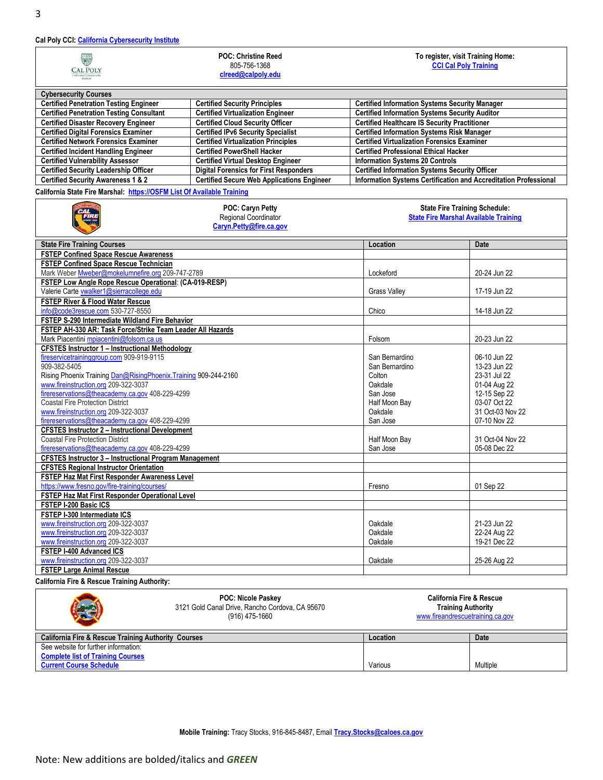## **Cal Poly CCI[: California Cybersecurity](https://cci.calpoly.edu/) Institute**

| $\bigoplus$<br><b>CAL POLY</b><br>California Cybersecurity<br>Institute | <b>POC: Christine Reed</b><br>805-756-1368<br>clreed@calpoly.edu | To register, visit Training Home:<br><b>CCI Cal Poly Training</b> |
|-------------------------------------------------------------------------|------------------------------------------------------------------|-------------------------------------------------------------------|
| <b>Cybersecurity Courses</b>                                            |                                                                  |                                                                   |
| <b>Certified Penetration Testing Engineer</b>                           | <b>Certified Security Principles</b>                             | <b>Certified Information Systems Security Manager</b>             |
| <b>Certified Penetration Testing Consultant</b>                         | <b>Certified Virtualization Engineer</b>                         | <b>Certified Information Systems Security Auditor</b>             |
| <b>Certified Disaster Recovery Engineer</b>                             | <b>Certified Cloud Security Officer</b>                          | <b>Certified Healthcare IS Security Practitioner</b>              |
| <b>Certified Digital Forensics Examiner</b>                             | <b>Certified IPv6 Security Specialist</b>                        | <b>Certified Information Systems Risk Manager</b>                 |
| <b>Certified Network Forensics Examiner</b>                             | <b>Certified Virtualization Principles</b>                       | <b>Certified Virtualization Forensics Examiner</b>                |
| <b>Certified Incident Handling Engineer</b>                             | <b>Certified PowerShell Hacker</b>                               | <b>Certified Professional Ethical Hacker</b>                      |
| <b>Certified Vulnerability Assessor</b>                                 | <b>Certified Virtual Desktop Engineer</b>                        | <b>Information Systems 20 Controls</b>                            |
| <b>Certified Security Leadership Officer</b>                            | <b>Digital Forensics for First Responders</b>                    | <b>Certified Information Systems Security Officer</b>             |
| <b>Certified Security Awareness 1 &amp; 2</b>                           | <b>Certified Secure Web Applications Engineer</b>                | Information Systems Certification and Accreditation Professional  |

**California State Fire Marshal: [https://OSFM List Of Available Training](https://osfm-sft.acadisonline.com/AcadisViewer/Registration/ListOfAvailableTraining)**

|                                                                 | POC: Caryn Petty<br>Regional Coordinator<br>Caryn.Petty@fire.ca.gov | <b>State Fire Training Schedule:</b><br><b>State Fire Marshal Available Training</b> |                  |
|-----------------------------------------------------------------|---------------------------------------------------------------------|--------------------------------------------------------------------------------------|------------------|
| <b>State Fire Training Courses</b>                              |                                                                     | Location                                                                             | Date             |
| <b>FSTEP Confined Space Rescue Awareness</b>                    |                                                                     |                                                                                      |                  |
| <b>FSTEP Confined Space Rescue Technician</b>                   |                                                                     |                                                                                      |                  |
| Mark Weber Mweber@mokelumnefire.org 209-747-2789                |                                                                     | Lockeford                                                                            | 20-24 Jun 22     |
| FSTEP Low Angle Rope Rescue Operational: (CA-019-RESP)          |                                                                     |                                                                                      |                  |
| Valerie Carte vwalker1@sierracollege.edu                        |                                                                     | <b>Grass Valley</b>                                                                  | 17-19 Jun 22     |
| <b>FSTEP River &amp; Flood Water Rescue</b>                     |                                                                     |                                                                                      |                  |
| info@code3rescue.com 530-727-8550                               |                                                                     | Chico                                                                                | 14-18 Jun 22     |
| FSTEP S-290 Intermediate Wildland Fire Behavior                 |                                                                     |                                                                                      |                  |
| FSTEP AH-330 AR: Task Force/Strike Team Leader All Hazards      |                                                                     |                                                                                      |                  |
| Mark Piacentini mpiacentini@folsom.ca.us                        |                                                                     | Folsom                                                                               | 20-23 Jun 22     |
| <b>CFSTES Instructor 1 - Instructional Methodology</b>          |                                                                     |                                                                                      |                  |
| fireservicetraininggroup.com 909-919-9115                       |                                                                     | San Bernardino                                                                       | 06-10 Jun 22     |
| 909-382-5405                                                    |                                                                     | San Bernardino                                                                       | 13-23 Jun 22     |
| Rising Phoenix Training Dan@RisingPhoenix.Training 909-244-2160 |                                                                     | Colton                                                                               | 23-31 Jul 22     |
| www.fireinstruction.org 209-322-3037                            |                                                                     | Oakdale                                                                              | 01-04 Aug 22     |
| firereservations@theacademy.ca.gov 408-229-4299                 |                                                                     | San Jose                                                                             | 12-15 Sep 22     |
| <b>Coastal Fire Protection District</b>                         |                                                                     | Half Moon Bay                                                                        | 03-07 Oct 22     |
| www.fireinstruction.org 209-322-3037                            |                                                                     | Oakdale                                                                              | 31 Oct-03 Nov 22 |
| firereservations@theacademy.ca.gov 408-229-4299                 |                                                                     | San Jose                                                                             | 07-10 Nov 22     |
| <b>CFSTES Instructor 2 - Instructional Development</b>          |                                                                     |                                                                                      |                  |
| <b>Coastal Fire Protection District</b>                         |                                                                     | Half Moon Bay                                                                        | 31 Oct-04 Nov 22 |
| firereservations@theacademy.ca.gov 408-229-4299                 |                                                                     | San Jose                                                                             | 05-08 Dec 22     |
| <b>CFSTES Instructor 3 - Instructional Program Management</b>   |                                                                     |                                                                                      |                  |
| <b>CFSTES Regional Instructor Orientation</b>                   |                                                                     |                                                                                      |                  |
| FSTEP Haz Mat First Responder Awareness Level                   |                                                                     |                                                                                      |                  |
| https://www.fresno.gov/fire-training/courses/                   |                                                                     | Fresno                                                                               | 01 Sep 22        |
| FSTEP Haz Mat First Responder Operational Level                 |                                                                     |                                                                                      |                  |
| <b>FSTEP I-200 Basic ICS</b>                                    |                                                                     |                                                                                      |                  |
| FSTEP I-300 Intermediate ICS                                    |                                                                     |                                                                                      |                  |
| www.fireinstruction.org 209-322-3037                            |                                                                     | Oakdale                                                                              | 21-23 Jun 22     |
| www.fireinstruction.org 209-322-3037                            |                                                                     | Oakdale                                                                              | 22-24 Aug 22     |
| www.fireinstruction.org 209-322-3037                            |                                                                     | Oakdale                                                                              | 19-21 Dec 22     |
| FSTEP I-400 Advanced ICS                                        |                                                                     |                                                                                      |                  |
| www.fireinstruction.org 209-322-3037                            |                                                                     | Oakdale                                                                              | 25-26 Aug 22     |
| <b>FSTEP Large Animal Rescue</b>                                |                                                                     |                                                                                      |                  |

**California Fire & Rescue Training Authority:**

| <b>REAL PROPERTY</b>                                           | <b>POC: Nicole Paskey</b><br>3121 Gold Canal Drive, Rancho Cordova, CA 95670<br>(916) 475-1660 | <b>California Fire &amp; Rescue</b><br><b>Training Authority</b><br>www.fireandrescuetraining.ca.gov |          |
|----------------------------------------------------------------|------------------------------------------------------------------------------------------------|------------------------------------------------------------------------------------------------------|----------|
| <b>California Fire &amp; Rescue Training Authority Courses</b> |                                                                                                | Location                                                                                             | Date     |
| See website for further information:                           |                                                                                                |                                                                                                      |          |
| <b>Complete list of Training Courses</b>                       |                                                                                                |                                                                                                      |          |
| <b>Current Course Schedule</b>                                 |                                                                                                | Various                                                                                              | Multiple |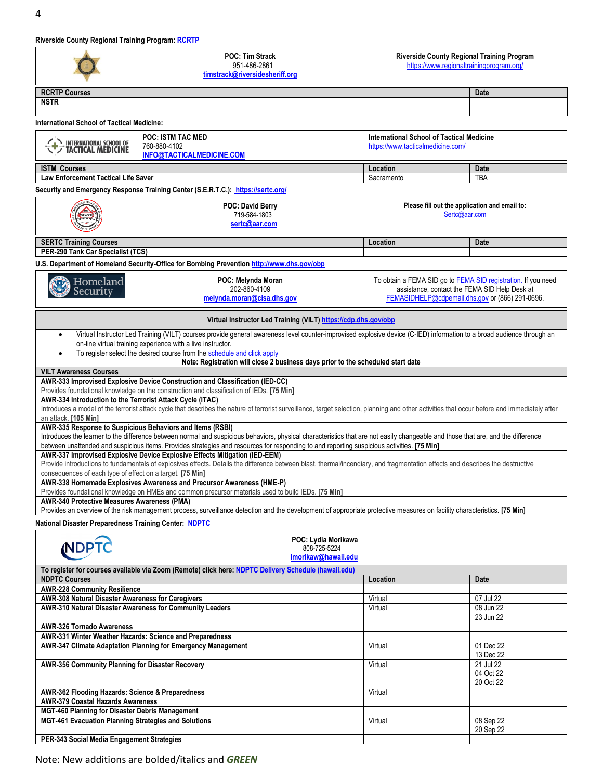**Riverside County Regional Training Program: [RCRTP](https://www.regionaltrainingprogram.org/index.php/homeland-security/homeland-security-courses)**

|                                                                                                               | <b>POC: Tim Strack</b><br>Riverside County Regional Training Program<br>951-486-2861<br>https://www.regionaltrainingprogram.org/<br>timstrack@riversidesheriff.org                                                       |                                                                                       |                                     |
|---------------------------------------------------------------------------------------------------------------|--------------------------------------------------------------------------------------------------------------------------------------------------------------------------------------------------------------------------|---------------------------------------------------------------------------------------|-------------------------------------|
| <b>RCRTP Courses</b>                                                                                          |                                                                                                                                                                                                                          |                                                                                       | <b>Date</b>                         |
| <b>NSTR</b>                                                                                                   |                                                                                                                                                                                                                          |                                                                                       |                                     |
| <b>International School of Tactical Medicine:</b>                                                             |                                                                                                                                                                                                                          |                                                                                       |                                     |
|                                                                                                               | <b>POC: ISTM TAC MED</b>                                                                                                                                                                                                 |                                                                                       |                                     |
| NERNATIONAL SCHOOL OF                                                                                         | 760-880-4102                                                                                                                                                                                                             | <b>International School of Tactical Medicine</b><br>https://www.tacticalmedicine.com/ |                                     |
|                                                                                                               | INFO@TACTICALMEDICINE.COM                                                                                                                                                                                                |                                                                                       |                                     |
| <b>ISTM Courses</b>                                                                                           |                                                                                                                                                                                                                          | Location                                                                              | Date                                |
| <b>Law Enforcement Tactical Life Saver</b>                                                                    |                                                                                                                                                                                                                          | Sacramento                                                                            | TBA                                 |
|                                                                                                               | Security and Emergency Response Training Center (S.E.R.T.C.): https://sertc.org/                                                                                                                                         |                                                                                       |                                     |
|                                                                                                               | POC: David Berry<br>719-584-1803<br>sertc@aar.com                                                                                                                                                                        | Please fill out the application and email to:<br>Sertc@aar.com                        |                                     |
| <b>SERTC Training Courses</b>                                                                                 |                                                                                                                                                                                                                          | Location                                                                              | Date                                |
| PER-290 Tank Car Specialist (TCS)                                                                             |                                                                                                                                                                                                                          |                                                                                       |                                     |
|                                                                                                               | U.S. Department of Homeland Security-Office for Bombing Prevention http://www.dhs.gov/obp                                                                                                                                |                                                                                       |                                     |
| Homeland                                                                                                      | POC: Melynda Moran                                                                                                                                                                                                       | To obtain a FEMA SID go to FEMA SID registration. If you need                         |                                     |
| Security                                                                                                      | 202-860-4109                                                                                                                                                                                                             | assistance, contact the FEMA SID Help Desk at                                         |                                     |
|                                                                                                               | melynda.moran@cisa.dhs.gov                                                                                                                                                                                               | FEMASIDHELP@cdpemail.dhs.gov or (866) 291-0696.                                       |                                     |
|                                                                                                               | Virtual Instructor Led Training (VILT) https://cdp.dhs.gov/obp                                                                                                                                                           |                                                                                       |                                     |
|                                                                                                               | Virtual Instructor Led Training (VILT) courses provide general awareness level counter-improvised explosive device (C-IED) information to a broad audience through an                                                    |                                                                                       |                                     |
|                                                                                                               | on-line virtual training experience with a live instructor.<br>To register select the desired course from the schedule and click apply                                                                                   |                                                                                       |                                     |
|                                                                                                               | Note: Registration will close 2 business days prior to the scheduled start date                                                                                                                                          |                                                                                       |                                     |
| <b>VILT Awareness Courses</b>                                                                                 |                                                                                                                                                                                                                          |                                                                                       |                                     |
|                                                                                                               | AWR-333 Improvised Explosive Device Construction and Classification (IED-CC)<br>Provides foundational knowledge on the construction and classification of IEDs. [75 Min]                                                 |                                                                                       |                                     |
| AWR-334 Introduction to the Terrorist Attack Cycle (ITAC)                                                     |                                                                                                                                                                                                                          |                                                                                       |                                     |
|                                                                                                               | Introduces a model of the terrorist attack cycle that describes the nature of terrorist surveillance, target selection, planning and other activities that occur before and immediately after                            |                                                                                       |                                     |
| an attack. [105 Min]                                                                                          | AWR-335 Response to Suspicious Behaviors and Items (RSBI)                                                                                                                                                                |                                                                                       |                                     |
|                                                                                                               | Introduces the learner to the difference between normal and suspicious behaviors, physical characteristics that are not easily changeable and those that are, and the difference                                         |                                                                                       |                                     |
|                                                                                                               | between unattended and suspicious items. Provides strategies and resources for responding to and reporting suspicious activities. [75 Min]<br>AWR-337 Improvised Explosive Device Explosive Effects Mitigation (IED-EEM) |                                                                                       |                                     |
|                                                                                                               | Provide introductions to fundamentals of explosives effects. Details the difference between blast, thermal/incendiary, and fragmentation effects and describes the destructive                                           |                                                                                       |                                     |
| consequences of each type of effect on a target. [75 Min]                                                     |                                                                                                                                                                                                                          |                                                                                       |                                     |
|                                                                                                               | AWR-338 Homemade Explosives Awareness and Precursor Awareness (HME-P)<br>Provides foundational knowledge on HMEs and common precursor materials used to build IEDs. [75 Min]                                             |                                                                                       |                                     |
| AWR-340 Protective Measures Awareness (PMA)                                                                   |                                                                                                                                                                                                                          |                                                                                       |                                     |
|                                                                                                               | Provides an overview of the risk management process, surveillance detection and the development of appropriate protective measures on facility characteristics. [75 Min]                                                 |                                                                                       |                                     |
| National Disaster Preparedness Training Center: NDPTC                                                         |                                                                                                                                                                                                                          |                                                                                       |                                     |
|                                                                                                               | POC: Lydia Morikawa                                                                                                                                                                                                      |                                                                                       |                                     |
| <b>NDPTC</b>                                                                                                  | 808-725-5224<br>Imorikaw@hawaii.edu                                                                                                                                                                                      |                                                                                       |                                     |
|                                                                                                               | To register for courses available via Zoom (Remote) click here: NDPTC Delivery Schedule (hawaii.edu)                                                                                                                     |                                                                                       |                                     |
| <b>NDPTC Courses</b>                                                                                          |                                                                                                                                                                                                                          | Location                                                                              | Date                                |
| <b>AWR-228 Community Resilience</b>                                                                           |                                                                                                                                                                                                                          |                                                                                       |                                     |
| AWR-308 Natural Disaster Awareness for Caregivers<br>AWR-310 Natural Disaster Awareness for Community Leaders |                                                                                                                                                                                                                          | Virtual<br>Virtual                                                                    | $\overline{07}$ Jul 22<br>08 Jun 22 |
|                                                                                                               |                                                                                                                                                                                                                          |                                                                                       | 23 Jun 22                           |
| <b>AWR-326 Tornado Awareness</b>                                                                              |                                                                                                                                                                                                                          |                                                                                       |                                     |
| AWR-331 Winter Weather Hazards: Science and Preparedness                                                      | AWR-347 Climate Adaptation Planning for Emergency Management                                                                                                                                                             | Virtual                                                                               | 01 Dec 22                           |
|                                                                                                               |                                                                                                                                                                                                                          |                                                                                       | 13 Dec 22                           |
| AWR-356 Community Planning for Disaster Recovery                                                              |                                                                                                                                                                                                                          | Virtual                                                                               | 21 Jul 22<br>04 Oct 22              |
|                                                                                                               |                                                                                                                                                                                                                          |                                                                                       | 20 Oct 22                           |
| AWR-362 Flooding Hazards: Science & Preparedness                                                              |                                                                                                                                                                                                                          | Virtual                                                                               |                                     |
| <b>AWR-379 Coastal Hazards Awareness</b><br>MGT-460 Planning for Disaster Debris Management                   |                                                                                                                                                                                                                          |                                                                                       |                                     |
| MGT-461 Evacuation Planning Strategies and Solutions                                                          |                                                                                                                                                                                                                          | Virtual                                                                               | 08 Sep 22                           |
|                                                                                                               |                                                                                                                                                                                                                          |                                                                                       | 20 Sep 22                           |
| PER-343 Social Media Engagement Strategies                                                                    |                                                                                                                                                                                                                          |                                                                                       |                                     |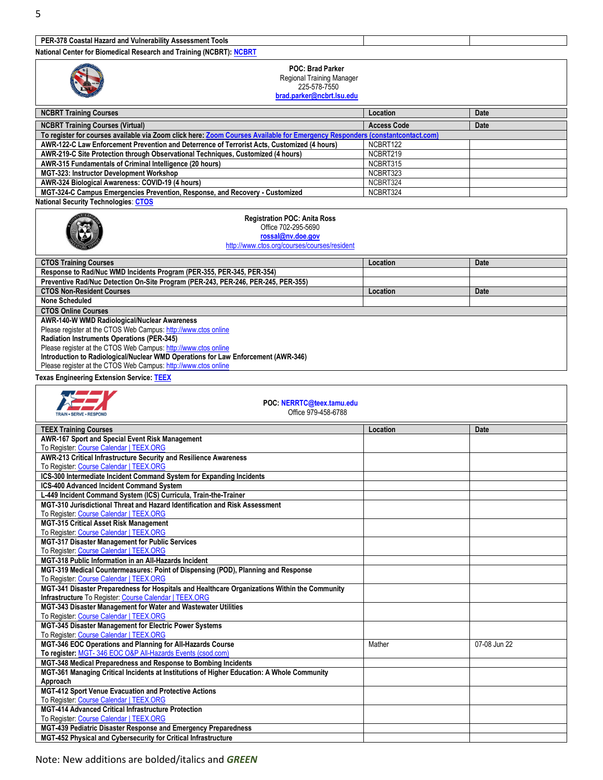## **PER-37[8 Coastal Hazard and Vulnerability Assessment Tools](https://ndptc.hawaii.edu/training/delivery/2812/)**

**National Center for Biomedical Research and Training (NCBRT): [NCBRT](https://www.ncbrt.lsu.edu/courses/upcomingcourses.php?program=DHS)**

| nauvilai Center IVI Divineurcai Research and Training (NCDRT). NCDRT                                                             |                    |              |
|----------------------------------------------------------------------------------------------------------------------------------|--------------------|--------------|
| <b>POC: Brad Parker</b>                                                                                                          |                    |              |
| Regional Training Manager                                                                                                        |                    |              |
| 225-578-7550                                                                                                                     |                    |              |
| brad.parker@ncbrt.lsu.edu                                                                                                        |                    |              |
|                                                                                                                                  |                    |              |
| <b>NCBRT Training Courses</b>                                                                                                    | Location           | Date         |
|                                                                                                                                  |                    |              |
| <b>NCBRT Training Courses (Virtual)</b>                                                                                          | <b>Access Code</b> | Date         |
| To register for courses available via Zoom click here: Zoom Courses Available for Emergency Responders (constantcontact.com)     |                    |              |
| AWR-122-C Law Enforcement Prevention and Deterrence of Terrorist Acts, Customized (4 hours)                                      | NCBRT122           |              |
| AWR-219-C Site Protection through Observational Techniques, Customized (4 hours)                                                 | NCBRT219           |              |
| AWR-315 Fundamentals of Criminal Intelligence (20 hours)                                                                         | NCBRT315           |              |
| MGT-323: Instructor Development Workshop                                                                                         | NCBRT323           |              |
| AWR-324 Biological Awareness: COVID-19 (4 hours)                                                                                 | NCBRT324           |              |
| MGT-324-C Campus Emergencies Prevention, Response, and Recovery - Customized                                                     | NCBRT324           |              |
| <b>National Security Technologies: CTOS</b>                                                                                      |                    |              |
|                                                                                                                                  |                    |              |
| <b>Registration POC: Anita Ross</b>                                                                                              |                    |              |
| Office 702-295-5690                                                                                                              |                    |              |
| rossal@nv.doe.gov                                                                                                                |                    |              |
| http://www.ctos.org/courses/courses/resident                                                                                     |                    |              |
|                                                                                                                                  |                    |              |
| <b>CTOS Training Courses</b>                                                                                                     | Location           | Date         |
| Response to Rad/Nuc WMD Incidents Program (PER-355, PER-345, PER-354)                                                            |                    |              |
| Preventive Rad/Nuc Detection On-Site Program (PER-243, PER-246, PER-245, PER-355)                                                |                    |              |
| <b>CTOS Non-Resident Courses</b>                                                                                                 |                    |              |
|                                                                                                                                  | Location           | Date         |
| <b>None Scheduled</b>                                                                                                            |                    |              |
| <b>CTOS Online Courses</b>                                                                                                       |                    |              |
| AWR-140-W WMD Radiological/Nuclear Awareness                                                                                     |                    |              |
| Please register at the CTOS Web Campus: http://www.ctos online                                                                   |                    |              |
| Radiation Instruments Operations (PER-345)                                                                                       |                    |              |
| Please register at the CTOS Web Campus: http://www.ctos online                                                                   |                    |              |
| Introduction to Radiological/Nuclear WMD Operations for Law Enforcement (AWR-346)                                                |                    |              |
| Please register at the CTOS Web Campus: http://www.ctos online                                                                   |                    |              |
|                                                                                                                                  |                    |              |
| <b>Texas Engineering Extension Service: TEEX</b>                                                                                 |                    |              |
|                                                                                                                                  |                    |              |
|                                                                                                                                  |                    |              |
|                                                                                                                                  |                    |              |
| POC: NERRTC@teex.tamu.edu                                                                                                        |                    |              |
| Office 979-458-6788<br><b>TRAIN - SERVE - RESPOND</b>                                                                            |                    |              |
|                                                                                                                                  |                    |              |
| <b>TEEX Training Courses</b>                                                                                                     | Location           | <b>Date</b>  |
| AWR-167 Sport and Special Event Risk Management                                                                                  |                    |              |
| To Register: Course Calendar   TEEX.ORG                                                                                          |                    |              |
| AWR-213 Critical Infrastructure Security and Resilience Awareness                                                                |                    |              |
| To Register: Course Calendar   TEEX.ORG                                                                                          |                    |              |
|                                                                                                                                  |                    |              |
| ICS-300 Intermediate Incident Command System for Expanding Incidents                                                             |                    |              |
| ICS-400 Advanced Incident Command System                                                                                         |                    |              |
| L-449 Incident Command System (ICS) Curricula, Train-the-Trainer                                                                 |                    |              |
| MGT-310 Jurisdictional Threat and Hazard Identification and Risk Assessment                                                      |                    |              |
| To Register: Course Calendar   TEEX.ORG                                                                                          |                    |              |
| MGT-315 Critical Asset Risk Management                                                                                           |                    |              |
| To Register: Course Calendar   TEEX.ORG                                                                                          |                    |              |
| MGT-317 Disaster Management for Public Services                                                                                  |                    |              |
| To Register: Course Calendar   TEEX.ORG                                                                                          |                    |              |
| MGT-318 Public Information in an All-Hazards Incident                                                                            |                    |              |
| MGT-319 Medical Countermeasures: Point of Dispensing (POD), Planning and Response                                                |                    |              |
|                                                                                                                                  |                    |              |
| To Register: Course Calendar   TEEX.ORG                                                                                          |                    |              |
| MGT-341 Disaster Preparedness for Hospitals and Healthcare Organizations Within the Community                                    |                    |              |
| Infrastructure To Register: Course Calendar   TEEX.ORG                                                                           |                    |              |
| MGT-343 Disaster Management for Water and Wastewater Utilities                                                                   |                    |              |
| To Register: Course Calendar   TEEX.ORG                                                                                          |                    |              |
| MGT-345 Disaster Management for Electric Power Systems                                                                           |                    |              |
| To Register: Course Calendar   TEEX.ORG                                                                                          |                    |              |
| MGT-346 EOC Operations and Planning for All-Hazards Course                                                                       | Mather             | 07-08 Jun 22 |
| To register: MGT-346 EOC O&P All-Hazards Events (csod.com)                                                                       |                    |              |
| MGT-348 Medical Preparedness and Response to Bombing Incidents                                                                   |                    |              |
| MGT-361 Managing Critical Incidents at Institutions of Higher Education: A Whole Community                                       |                    |              |
| Approach                                                                                                                         |                    |              |
|                                                                                                                                  |                    |              |
| MGT-412 Sport Venue Evacuation and Protective Actions                                                                            |                    |              |
| To Register: Course Calendar   TEEX.ORG                                                                                          |                    |              |
| <b>MGT-414 Advanced Critical Infrastructure Protection</b>                                                                       |                    |              |
| To Register: Course Calendar   TEEX.ORG                                                                                          |                    |              |
| MGT-439 Pediatric Disaster Response and Emergency Preparedness<br>MGT-452 Physical and Cybersecurity for Critical Infrastructure |                    |              |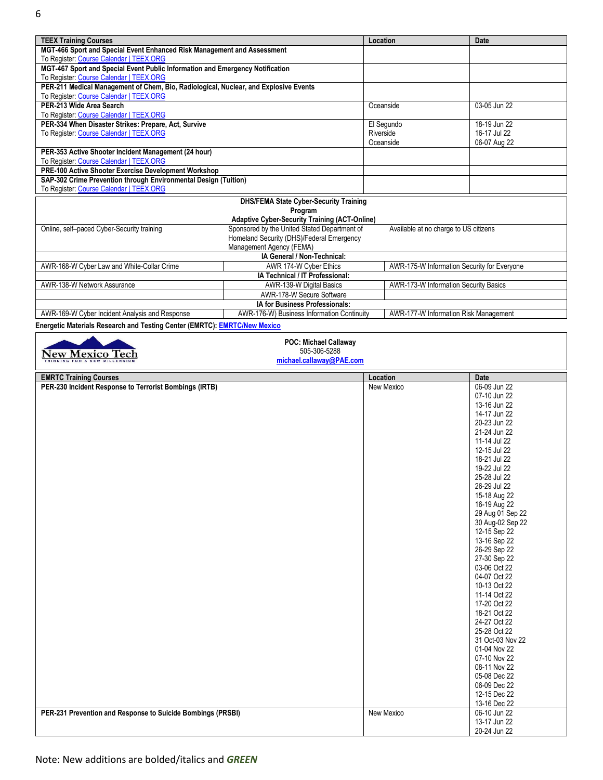| <b>TEEX Training Courses</b>                                                         |                                                      | Location                                    | <b>Date</b>  |
|--------------------------------------------------------------------------------------|------------------------------------------------------|---------------------------------------------|--------------|
| MGT-466 Sport and Special Event Enhanced Risk Management and Assessment              |                                                      |                                             |              |
| To Register: Course Calendar   TEEX.ORG                                              |                                                      |                                             |              |
| MGT-467 Sport and Special Event Public Information and Emergency Notification        |                                                      |                                             |              |
| To Register: Course Calendar   TEEX.ORG                                              |                                                      |                                             |              |
| PER-211 Medical Management of Chem, Bio, Radiological, Nuclear, and Explosive Events |                                                      |                                             |              |
| To Register: Course Calendar   TEEX.ORG                                              |                                                      |                                             |              |
| PER-213 Wide Area Search                                                             |                                                      | Oceanside                                   | 03-05 Jun 22 |
| To Register: Course Calendar   TEEX.ORG                                              |                                                      |                                             |              |
| PER-334 When Disaster Strikes: Prepare, Act, Survive                                 |                                                      | El Segundo                                  | 18-19 Jun 22 |
| To Register: Course Calendar   TEEX.ORG                                              |                                                      | Riverside                                   | 16-17 Jul 22 |
|                                                                                      |                                                      | Oceanside                                   | 06-07 Aug 22 |
| PER-353 Active Shooter Incident Management (24 hour)                                 |                                                      |                                             |              |
| To Register: Course Calendar   TEEX.ORG                                              |                                                      |                                             |              |
| PRE-100 Active Shooter Exercise Development Workshop                                 |                                                      |                                             |              |
| SAP-302 Crime Prevention through Environmental Design (Tuition)                      |                                                      |                                             |              |
| To Register: Course Calendar   TEEX.ORG                                              |                                                      |                                             |              |
| <b>DHS/FEMA State Cyber-Security Training</b>                                        |                                                      |                                             |              |
|                                                                                      | Program                                              |                                             |              |
|                                                                                      | <b>Adaptive Cyber-Security Training (ACT-Online)</b> |                                             |              |
| Online, self-paced Cyber-Security training                                           | Sponsored by the United Stated Department of         | Available at no charge to US citizens       |              |
|                                                                                      | Homeland Security (DHS)/Federal Emergency            |                                             |              |
|                                                                                      | Management Agency (FEMA)                             |                                             |              |
|                                                                                      | IA General / Non-Technical:                          |                                             |              |
| AWR-168-W Cyber Law and White-Collar Crime                                           | AWR 174-W Cyber Ethics                               | AWR-175-W Information Security for Everyone |              |
|                                                                                      | IA Technical / IT Professional:                      |                                             |              |
| AWR-138-W Network Assurance                                                          | AWR-139-W Digital Basics                             | AWR-173-W Information Security Basics       |              |
|                                                                                      | AWR-178-W Secure Software                            |                                             |              |
|                                                                                      | IA for Business Professionals:                       |                                             |              |
| AWR-169-W Cyber Incident Analysis and Response                                       | AWR-176-W) Business Information Continuity           | AWR-177-W Information Risk Management       |              |
| Energetic Materials Research and Testing Center (EMRTC): EMRTC/New Mexico            |                                                      |                                             |              |
|                                                                                      | <b>DOC: Michael Callaway</b>                         |                                             |              |

| 505-306-5288<br>New Mexico Tech<br>michael.callaway@PAE.com |            |                              |
|-------------------------------------------------------------|------------|------------------------------|
| <b>EMRTC Training Courses</b>                               | Location   | Date                         |
| PER-230 Incident Response to Terrorist Bombings (IRTB)      | New Mexico | 06-09 Jun 22                 |
|                                                             |            | 07-10 Jun 22                 |
|                                                             |            | 13-16 Jun 22                 |
|                                                             |            | 14-17 Jun 22                 |
|                                                             |            | 20-23 Jun 22                 |
|                                                             |            | 21-24 Jun 22                 |
|                                                             |            | 11-14 Jul 22                 |
|                                                             |            | 12-15 Jul 22                 |
|                                                             |            | 18-21 Jul 22                 |
|                                                             |            | 19-22 Jul 22                 |
|                                                             |            | 25-28 Jul 22                 |
|                                                             |            | 26-29 Jul 22                 |
|                                                             |            | 15-18 Aug 22                 |
|                                                             |            | 16-19 Aug 22                 |
|                                                             |            | 29 Aug 01 Sep 22             |
|                                                             |            | 30 Aug-02 Sep 22             |
|                                                             |            | 12-15 Sep 22                 |
|                                                             |            | 13-16 Sep 22                 |
|                                                             |            | 26-29 Sep 22                 |
|                                                             |            | 27-30 Sep 22                 |
|                                                             |            | 03-06 Oct 22                 |
|                                                             |            | 04-07 Oct 22                 |
|                                                             |            | 10-13 Oct 22                 |
|                                                             |            | 11-14 Oct 22                 |
|                                                             |            | 17-20 Oct 22                 |
|                                                             |            | 18-21 Oct 22                 |
|                                                             |            | 24-27 Oct 22                 |
|                                                             |            | 25-28 Oct 22                 |
|                                                             |            | 31 Oct-03 Nov 22             |
|                                                             |            | 01-04 Nov 22                 |
|                                                             |            | 07-10 Nov 22                 |
|                                                             |            | 08-11 Nov 22                 |
|                                                             |            | 05-08 Dec 22                 |
|                                                             |            | 06-09 Dec 22                 |
|                                                             |            | 12-15 Dec 22                 |
|                                                             |            | 13-16 Dec 22                 |
| PER-231 Prevention and Response to Suicide Bombings (PRSBI) | New Mexico | 06-10 Jun 22                 |
|                                                             |            |                              |
|                                                             |            | 13-17 Jun 22<br>20-24 Jun 22 |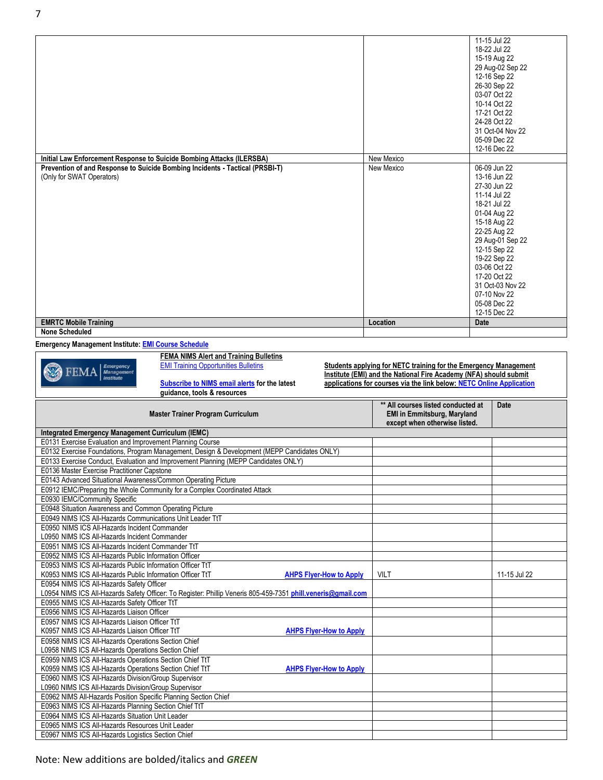|                                                                                                              | 11-15 Jul 22                                                                                                                                                                  |
|--------------------------------------------------------------------------------------------------------------|-------------------------------------------------------------------------------------------------------------------------------------------------------------------------------|
|                                                                                                              | 18-22 Jul 22                                                                                                                                                                  |
|                                                                                                              | 15-19 Aug 22                                                                                                                                                                  |
|                                                                                                              | 29 Aug-02 Sep 22                                                                                                                                                              |
|                                                                                                              | 12-16 Sep 22                                                                                                                                                                  |
|                                                                                                              | 26-30 Sep 22                                                                                                                                                                  |
|                                                                                                              | 03-07 Oct 22                                                                                                                                                                  |
|                                                                                                              |                                                                                                                                                                               |
|                                                                                                              | 10-14 Oct 22                                                                                                                                                                  |
|                                                                                                              | 17-21 Oct 22                                                                                                                                                                  |
|                                                                                                              | 24-28 Oct 22                                                                                                                                                                  |
|                                                                                                              | 31 Oct-04 Nov 22                                                                                                                                                              |
|                                                                                                              | 05-09 Dec 22                                                                                                                                                                  |
|                                                                                                              | 12-16 Dec 22                                                                                                                                                                  |
|                                                                                                              |                                                                                                                                                                               |
|                                                                                                              | 06-09 Jun 22                                                                                                                                                                  |
|                                                                                                              | 13-16 Jun 22                                                                                                                                                                  |
|                                                                                                              |                                                                                                                                                                               |
|                                                                                                              | 27-30 Jun 22                                                                                                                                                                  |
|                                                                                                              | 11-14 Jul 22                                                                                                                                                                  |
|                                                                                                              | 18-21 Jul 22                                                                                                                                                                  |
|                                                                                                              | 01-04 Aug 22                                                                                                                                                                  |
|                                                                                                              | 15-18 Aug 22                                                                                                                                                                  |
|                                                                                                              | 22-25 Aug 22                                                                                                                                                                  |
|                                                                                                              | 29 Aug-01 Sep 22                                                                                                                                                              |
|                                                                                                              | 12-15 Sep 22                                                                                                                                                                  |
|                                                                                                              |                                                                                                                                                                               |
|                                                                                                              | 19-22 Sep 22                                                                                                                                                                  |
|                                                                                                              | 03-06 Oct 22                                                                                                                                                                  |
|                                                                                                              | 17-20 Oct 22                                                                                                                                                                  |
|                                                                                                              | 31 Oct-03 Nov 22                                                                                                                                                              |
|                                                                                                              | 07-10 Nov 22                                                                                                                                                                  |
|                                                                                                              | 05-08 Dec 22                                                                                                                                                                  |
|                                                                                                              | 12-15 Dec 22                                                                                                                                                                  |
|                                                                                                              | Date                                                                                                                                                                          |
|                                                                                                              |                                                                                                                                                                               |
|                                                                                                              |                                                                                                                                                                               |
|                                                                                                              |                                                                                                                                                                               |
|                                                                                                              |                                                                                                                                                                               |
|                                                                                                              |                                                                                                                                                                               |
|                                                                                                              |                                                                                                                                                                               |
|                                                                                                              |                                                                                                                                                                               |
|                                                                                                              |                                                                                                                                                                               |
|                                                                                                              | applications for courses via the link below: NETC Online Application                                                                                                          |
|                                                                                                              |                                                                                                                                                                               |
|                                                                                                              | Date                                                                                                                                                                          |
|                                                                                                              | ** All courses listed conducted at                                                                                                                                            |
|                                                                                                              | <b>EMI in Emmitsburg, Maryland</b>                                                                                                                                            |
|                                                                                                              | except when otherwise listed.                                                                                                                                                 |
|                                                                                                              |                                                                                                                                                                               |
|                                                                                                              |                                                                                                                                                                               |
|                                                                                                              |                                                                                                                                                                               |
|                                                                                                              |                                                                                                                                                                               |
|                                                                                                              |                                                                                                                                                                               |
|                                                                                                              |                                                                                                                                                                               |
|                                                                                                              |                                                                                                                                                                               |
|                                                                                                              |                                                                                                                                                                               |
|                                                                                                              |                                                                                                                                                                               |
|                                                                                                              |                                                                                                                                                                               |
|                                                                                                              |                                                                                                                                                                               |
|                                                                                                              |                                                                                                                                                                               |
|                                                                                                              |                                                                                                                                                                               |
|                                                                                                              |                                                                                                                                                                               |
|                                                                                                              |                                                                                                                                                                               |
|                                                                                                              |                                                                                                                                                                               |
|                                                                                                              |                                                                                                                                                                               |
| <b>AHPS Flyer-How to Apply</b><br><b>VILT</b>                                                                | 11-15 Jul 22                                                                                                                                                                  |
|                                                                                                              |                                                                                                                                                                               |
| L0954 NIMS ICS All-Hazards Safety Officer: To Register: Phillip Veneris 805-459-7351 phill.veneris@gmail.com |                                                                                                                                                                               |
|                                                                                                              |                                                                                                                                                                               |
|                                                                                                              |                                                                                                                                                                               |
|                                                                                                              |                                                                                                                                                                               |
|                                                                                                              |                                                                                                                                                                               |
| <b>AHPS Flyer-How to Apply</b>                                                                               |                                                                                                                                                                               |
|                                                                                                              |                                                                                                                                                                               |
|                                                                                                              |                                                                                                                                                                               |
|                                                                                                              |                                                                                                                                                                               |
| <b>AHPS Flyer-How to Apply</b>                                                                               |                                                                                                                                                                               |
|                                                                                                              |                                                                                                                                                                               |
|                                                                                                              |                                                                                                                                                                               |
|                                                                                                              |                                                                                                                                                                               |
|                                                                                                              |                                                                                                                                                                               |
|                                                                                                              |                                                                                                                                                                               |
|                                                                                                              |                                                                                                                                                                               |
|                                                                                                              |                                                                                                                                                                               |
|                                                                                                              | New Mexico<br>New Mexico<br>Location<br>Students applying for NETC training for the Emergency Management<br>Institute (EMI) and the National Fire Academy (NFA) should submit |

 $\Gamma$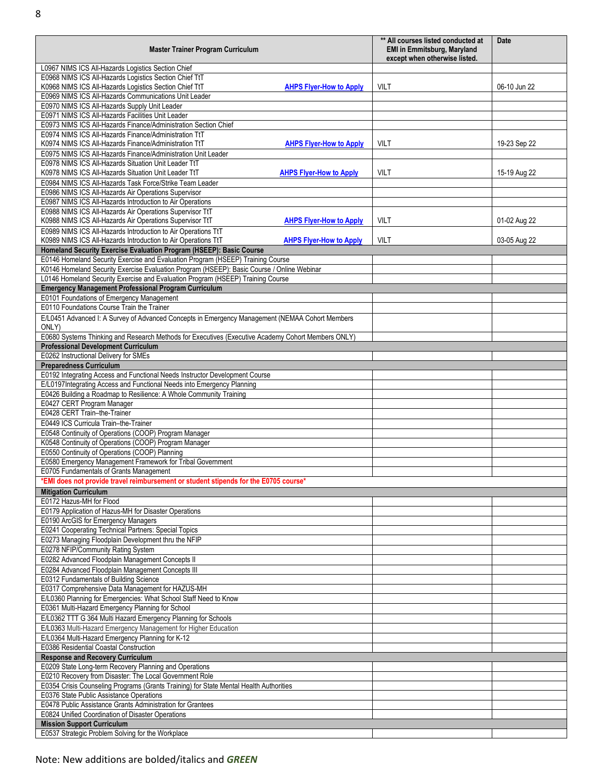| <b>Master Trainer Program Curriculum</b>                                                                                                                    | ** All courses listed conducted at<br><b>EMI in Emmitsburg, Maryland</b><br>except when otherwise listed. | Date         |
|-------------------------------------------------------------------------------------------------------------------------------------------------------------|-----------------------------------------------------------------------------------------------------------|--------------|
| L0967 NIMS ICS All-Hazards Logistics Section Chief                                                                                                          |                                                                                                           |              |
| E0968 NIMS ICS All-Hazards Logistics Section Chief TtT                                                                                                      |                                                                                                           |              |
| K0968 NIMS ICS All-Hazards Logistics Section Chief TtT<br><b>AHPS Flyer-How to Apply</b>                                                                    | <b>VILT</b>                                                                                               | 06-10 Jun 22 |
| E0969 NIMS ICS All-Hazards Communications Unit Leader                                                                                                       |                                                                                                           |              |
| E0970 NIMS ICS All-Hazards Supply Unit Leader                                                                                                               |                                                                                                           |              |
| E0971 NIMS ICS All-Hazards Facilities Unit Leader<br>E0973 NIMS ICS All-Hazards Finance/Administration Section Chief                                        |                                                                                                           |              |
| E0974 NIMS ICS All-Hazards Finance/Administration TtT                                                                                                       |                                                                                                           |              |
| K0974 NIMS ICS All-Hazards Finance/Administration TtT<br><b>AHPS Flyer-How to Apply</b>                                                                     | <b>VILT</b>                                                                                               | 19-23 Sep 22 |
| E0975 NIMS ICS All-Hazards Finance/Administration Unit Leader                                                                                               |                                                                                                           |              |
| E0978 NIMS ICS All-Hazards Situation Unit Leader TtT                                                                                                        |                                                                                                           |              |
| K0978 NIMS ICS All-Hazards Situation Unit Leader TtT<br><b>AHPS Flyer-How to Apply</b>                                                                      | <b>VILT</b>                                                                                               | 15-19 Aug 22 |
| E0984 NIMS ICS All-Hazards Task Force/Strike Team Leader                                                                                                    |                                                                                                           |              |
| E0986 NIMS ICS All-Hazards Air Operations Supervisor                                                                                                        |                                                                                                           |              |
| E0987 NIMS ICS All-Hazards Introduction to Air Operations                                                                                                   |                                                                                                           |              |
| E0988 NIMS ICS All-Hazards Air Operations Supervisor TtT                                                                                                    | <b>VILT</b>                                                                                               |              |
| K0988 NIMS ICS All-Hazards Air Operations Supervisor TtT<br><b>AHPS Flyer-How to Apply</b><br>E0989 NIMS ICS All-Hazards Introduction to Air Operations TtT |                                                                                                           | 01-02 Aug 22 |
| K0989 NIMS ICS All-Hazards Introduction to Air Operations TtT<br><b>AHPS Flyer-How to Apply</b>                                                             | <b>VILT</b>                                                                                               | 03-05 Aug 22 |
| Homeland Security Exercise Evaluation Program (HSEEP): Basic Course                                                                                         |                                                                                                           |              |
| E0146 Homeland Security Exercise and Evaluation Program (HSEEP) Training Course                                                                             |                                                                                                           |              |
| K0146 Homeland Security Exercise Evaluation Program (HSEEP): Basic Course / Online Webinar                                                                  |                                                                                                           |              |
| L0146 Homeland Security Exercise and Evaluation Program (HSEEP) Training Course                                                                             |                                                                                                           |              |
| <b>Emergency Management Professional Program Curriculum</b>                                                                                                 |                                                                                                           |              |
| E0101 Foundations of Emergency Management                                                                                                                   |                                                                                                           |              |
| E0110 Foundations Course Train the Trainer                                                                                                                  |                                                                                                           |              |
| E/L0451 Advanced I: A Survey of Advanced Concepts in Emergency Management (NEMAA Cohort Members                                                             |                                                                                                           |              |
| ONLY)                                                                                                                                                       |                                                                                                           |              |
| E0680 Systems Thinking and Research Methods for Executives (Executive Academy Cohort Members ONLY)                                                          |                                                                                                           |              |
| <b>Professional Development Curriculum</b><br>E0262 Instructional Delivery for SMEs                                                                         |                                                                                                           |              |
| <b>Preparedness Curriculum</b>                                                                                                                              |                                                                                                           |              |
| E0192 Integrating Access and Functional Needs Instructor Development Course                                                                                 |                                                                                                           |              |
| E/L0197Integrating Access and Functional Needs into Emergency Planning                                                                                      |                                                                                                           |              |
| E0426 Building a Roadmap to Resilience: A Whole Community Training                                                                                          |                                                                                                           |              |
| E0427 CERT Program Manager                                                                                                                                  |                                                                                                           |              |
| E0428 CERT Train-the-Trainer                                                                                                                                |                                                                                                           |              |
| E0449 ICS Curricula Train-the-Trainer                                                                                                                       |                                                                                                           |              |
| E0548 Continuity of Operations (COOP) Program Manager                                                                                                       |                                                                                                           |              |
| K0548 Continuity of Operations (COOP) Program Manager                                                                                                       |                                                                                                           |              |
| E0550 Continuity of Operations (COOP) Planning<br>E0580 Emergency Management Framework for Tribal Government                                                |                                                                                                           |              |
| E0705 Fundamentals of Grants Management                                                                                                                     |                                                                                                           |              |
| *EMI does not provide travel reimbursement or student stipends for the E0705 course*                                                                        |                                                                                                           |              |
| <b>Mitigation Curriculum</b>                                                                                                                                |                                                                                                           |              |
| E0172 Hazus-MH for Flood                                                                                                                                    |                                                                                                           |              |
| E0179 Application of Hazus-MH for Disaster Operations                                                                                                       |                                                                                                           |              |
| E0190 ArcGIS for Emergency Managers                                                                                                                         |                                                                                                           |              |
| E0241 Cooperating Technical Partners: Special Topics                                                                                                        |                                                                                                           |              |
| E0273 Managing Floodplain Development thru the NFIP                                                                                                         |                                                                                                           |              |
| E0278 NFIP/Community Rating System                                                                                                                          |                                                                                                           |              |
| E0282 Advanced Floodplain Management Concepts II                                                                                                            |                                                                                                           |              |
| E0284 Advanced Floodplain Management Concepts III                                                                                                           |                                                                                                           |              |
| E0312 Fundamentals of Building Science                                                                                                                      |                                                                                                           |              |
| E0317 Comprehensive Data Management for HAZUS-MH<br>E/L0360 Planning for Emergencies: What School Staff Need to Know                                        |                                                                                                           |              |
| E0361 Multi-Hazard Emergency Planning for School                                                                                                            |                                                                                                           |              |
| E/L0362 TTT G 364 Multi Hazard Emergency Planning for Schools                                                                                               |                                                                                                           |              |
| E/L0363 Multi-Hazard Emergency Management for Higher Education                                                                                              |                                                                                                           |              |
| E/L0364 Multi-Hazard Emergency Planning for K-12                                                                                                            |                                                                                                           |              |
| E0386 Residential Coastal Construction                                                                                                                      |                                                                                                           |              |
| <b>Response and Recovery Curriculum</b>                                                                                                                     |                                                                                                           |              |
| E0209 State Long-term Recovery Planning and Operations                                                                                                      |                                                                                                           |              |
| E0210 Recovery from Disaster: The Local Government Role                                                                                                     |                                                                                                           |              |
| E0354 Crisis Counseling Programs (Grants Training) for State Mental Health Authorities                                                                      |                                                                                                           |              |
| E0376 State Public Assistance Operations                                                                                                                    |                                                                                                           |              |
| E0478 Public Assistance Grants Administration for Grantees                                                                                                  |                                                                                                           |              |
| E0824 Unified Coordination of Disaster Operations                                                                                                           |                                                                                                           |              |
| <b>Mission Support Curriculum</b><br>E0537 Strategic Problem Solving for the Workplace                                                                      |                                                                                                           |              |
|                                                                                                                                                             |                                                                                                           |              |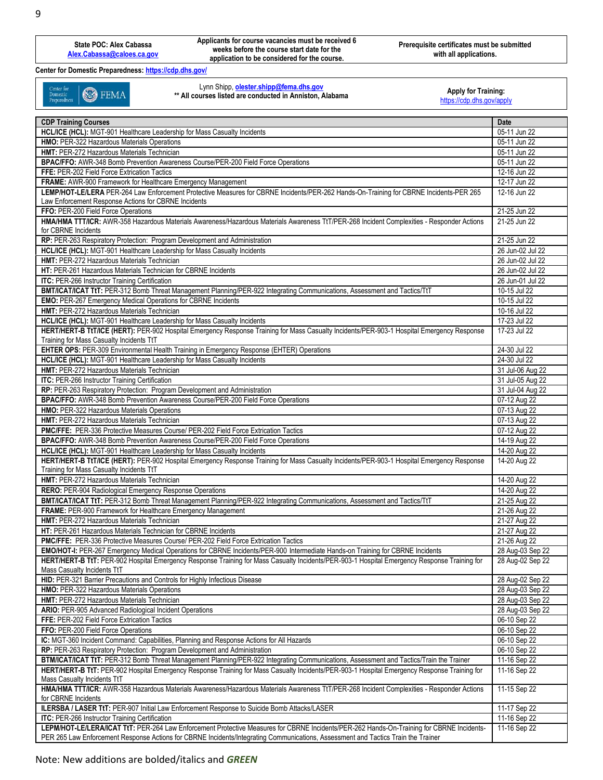**Applicants for course vacancies must be received 6 weeks before the course start date for the application to be considered for the course.**

**Prerequisite certificates must be submitted with all applications.**

**Center for Domestic Preparedness: <https://cdp.dhs.gov/>**

Center for<br>Domestic<br>Preparedness **B** FEMA Lynn Shipp, **[olester.shipp@fema.dhs.gov](mailto:olester.shipp@fema.dhs.gov)**

\*\* All courses listed are conducted in Anniston, Alabama

Apply for Training:<br><https://cdp.dhs.gov/apply>

| <b>CDP Training Courses</b>                                                                                                                  | Date             |
|----------------------------------------------------------------------------------------------------------------------------------------------|------------------|
| HCL/ICE (HCL): MGT-901 Healthcare Leadership for Mass Casualty Incidents                                                                     | 05-11 Jun 22     |
| HMO: PER-322 Hazardous Materials Operations                                                                                                  | 05-11 Jun 22     |
| HMT: PER-272 Hazardous Materials Technician                                                                                                  | 05-11 Jun 22     |
| BPAC/FFO: AWR-348 Bomb Prevention Awareness Course/PER-200 Field Force Operations                                                            | 05-11 Jun 22     |
| FFE: PER-202 Field Force Extrication Tactics                                                                                                 | 12-16 Jun 22     |
| FRAME: AWR-900 Framework for Healthcare Emergency Management                                                                                 | 12-17 Jun 22     |
| LEMP/HOT-LE/LERA PER-264 Law Enforcement Protective Measures for CBRNE Incidents/PER-262 Hands-On-Training for CBRNE Incidents-PER 265       | 12-16 Jun 22     |
|                                                                                                                                              |                  |
| Law Enforcement Response Actions for CBRNE Incidents                                                                                         |                  |
| FFO: PER-200 Field Force Operations                                                                                                          | 21-25 Jun 22     |
| HMA/HMA TTT/ICR: AWR-358 Hazardous Materials Awareness/Hazardous Materials Awareness TtT/PER-268 Incident Complexities - Responder Actions   | 21-25 Jun 22     |
| for CBRNE Incidents                                                                                                                          |                  |
| RP: PER-263 Respiratory Protection: Program Development and Administration                                                                   | 21-25 Jun 22     |
| HCL/ICE (HCL): MGT-901 Healthcare Leadership for Mass Casualty Incidents                                                                     | 26 Jun-02 Jul 22 |
| HMT: PER-272 Hazardous Materials Technician                                                                                                  | 26 Jun-02 Jul 22 |
| HT: PER-261 Hazardous Materials Technician for CBRNE Incidents                                                                               | 26 Jun-02 Jul 22 |
| ITC: PER-266 Instructor Training Certification                                                                                               | 26 Jun-01 Jul 22 |
| BMT/ICAT/ICAT TtT: PER-312 Bomb Threat Management Planning/PER-922 Integrating Communications, Assessment and Tactics/TtT                    | 10-15 Jul 22     |
| <b>EMO:</b> PER-267 Emergency Medical Operations for CBRNE Incidents                                                                         | 10-15 Jul 22     |
| HMT: PER-272 Hazardous Materials Technician                                                                                                  | 10-16 Jul 22     |
| HCL/ICE (HCL): MGT-901 Healthcare Leadership for Mass Casualty Incidents                                                                     | 17-23 Jul 22     |
|                                                                                                                                              |                  |
| HERT/HERT-B TtT/ICE (HERT): PER-902 Hospital Emergency Response Training for Mass Casualty Incidents/PER-903-1 Hospital Emergency Response   | 17-23 Jul 22     |
| Training for Mass Casualty Incidents TtT                                                                                                     |                  |
| EHTER OPS: PER-309 Environmental Health Training in Emergency Response (EHTER) Operations                                                    | 24-30 Jul 22     |
| HCL/ICE (HCL): MGT-901 Healthcare Leadership for Mass Casualty Incidents                                                                     | 24-30 Jul 22     |
| HMT: PER-272 Hazardous Materials Technician                                                                                                  | 31 Jul-06 Aug 22 |
| <b>ITC: PER-266 Instructor Training Certification</b>                                                                                        | 31 Jul-05 Aug 22 |
| RP: PER-263 Respiratory Protection: Program Development and Administration                                                                   | 31 Jul-04 Aug 22 |
| BPAC/FFO: AWR-348 Bomb Prevention Awareness Course/PER-200 Field Force Operations                                                            | 07-12 Aug 22     |
| HMO: PER-322 Hazardous Materials Operations                                                                                                  | 07-13 Aug 22     |
| HMT: PER-272 Hazardous Materials Technician                                                                                                  | 07-13 Aug 22     |
| PMC/FFE: PER-336 Protective Measures Course/ PER-202 Field Force Extrication Tactics                                                         | 07-12 Aug 22     |
|                                                                                                                                              | 14-19 Aug 22     |
| BPAC/FFO: AWR-348 Bomb Prevention Awareness Course/PER-200 Field Force Operations                                                            |                  |
| HCL/ICE (HCL): MGT-901 Healthcare Leadership for Mass Casualty Incidents                                                                     | 14-20 Aug 22     |
| HERT/HERT-B TtT/ICE (HERT): PER-902 Hospital Emergency Response Training for Mass Casualty Incidents/PER-903-1 Hospital Emergency Response   | 14-20 Aug 22     |
| Training for Mass Casualty Incidents TtT                                                                                                     |                  |
| HMT: PER-272 Hazardous Materials Technician                                                                                                  | 14-20 Aug 22     |
| RERO: PER-904 Radiological Emergency Response Operations                                                                                     | 14-20 Aug 22     |
| BMT/ICAT/ICAT TtT: PER-312 Bomb Threat Management Planning/PER-922 Integrating Communications, Assessment and Tactics/TtT                    | 21-25 Aug 22     |
| FRAME: PER-900 Framework for Healthcare Emergency Management                                                                                 | 21-26 Aug 22     |
| <b>HMT: PER-272 Hazardous Materials Technician</b>                                                                                           | 21-27 Aug 22     |
| HT: PER-261 Hazardous Materials Technician for CBRNE Incidents                                                                               | 21-27 Aug 22     |
| PMC/FFE: PER-336 Protective Measures Course/ PER-202 Field Force Extrication Tactics                                                         | 21-26 Aug 22     |
|                                                                                                                                              | 28 Aug-03 Sep 22 |
| EMO/HOT-I: PER-267 Emergency Medical Operations for CBRNE Incidents/PER-900 Intermediate Hands-on Training for CBRNE Incidents               |                  |
| HERT/HERT-B TtT: PER-902 Hospital Emergency Response Training for Mass Casualty Incidents/PER-903-1 Hospital Emergency Response Training for | 28 Aug-02 Sep 22 |
| Mass Casualty Incidents TtT                                                                                                                  |                  |
| HID: PER-321 Barrier Precautions and Controls for Highly Infectious Disease                                                                  | 28 Aug-02 Sep 22 |
| HMO: PER-322 Hazardous Materials Operations                                                                                                  | 28 Aug-03 Sep 22 |
| HMT: PER-272 Hazardous Materials Technician                                                                                                  | 28 Aug-03 Sep 22 |
| ARIO: PER-905 Advanced Radiological Incident Operations                                                                                      | 28 Aug-03 Sep 22 |
| FFE: PER-202 Field Force Extrication Tactics                                                                                                 | 06-10 Sep 22     |
| FFO: PER-200 Field Force Operations                                                                                                          | 06-10 Sep 22     |
| IC: MGT-360 Incident Command: Capabilities, Planning and Response Actions for All Hazards                                                    | 06-10 Sep 22     |
| RP: PER-263 Respiratory Protection: Program Development and Administration                                                                   | 06-10 Sep 22     |
| BTM/ICAT/ICAT TtT: PER-312 Bomb Threat Management Planning/PER-922 Integrating Communications, Assessment and Tactics/Train the Trainer      | 11-16 Sep 22     |
| HERT/HERT-B TtT: PER-902 Hospital Emergency Response Training for Mass Casualty Incidents/PER-903-1 Hospital Emergency Response Training for | 11-16 Sep 22     |
|                                                                                                                                              |                  |
| Mass Casualty Incidents TtT                                                                                                                  |                  |
| HMA/HMA TTT/ICR: AWR-358 Hazardous Materials Awareness/Hazardous Materials Awareness TtT/PER-268 Incident Complexities - Responder Actions   | 11-15 Sep 22     |
| for CBRNE Incidents                                                                                                                          |                  |
| ILERSBA / LASER TtT: PER-907 Initial Law Enforcement Response to Suicide Bomb Attacks/LASER                                                  | 11-17 Sep 22     |
| ITC: PER-266 Instructor Training Certification                                                                                               | 11-16 Sep 22     |
| LEPM/HOT-LE/LERA/ICAT TtT: PER-264 Law Enforcement Protective Measures for CBRNE Incidents/PER-262 Hands-On-Training for CBRNE Incidents-    | 11-16 Sep 22     |
| PER 265 Law Enforcement Response Actions for CBRNE Incidents/Integrating Communications, Assessment and Tactics Train the Trainer            |                  |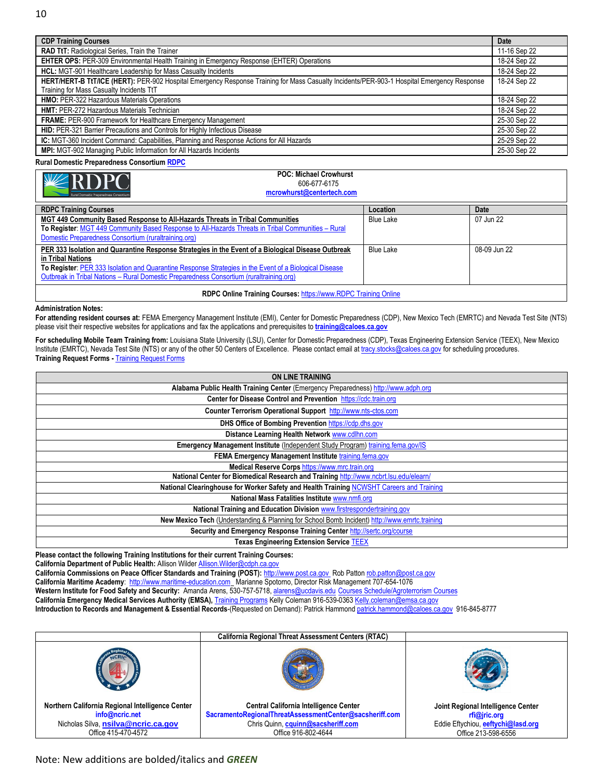| <b>CDP Training Courses</b>                                                                                                                | Date         |
|--------------------------------------------------------------------------------------------------------------------------------------------|--------------|
| RAD TtT: Radiological Series, Train the Trainer                                                                                            | 11-16 Sep 22 |
| EHTER OPS: PER-309 Environmental Health Training in Emergency Response (EHTER) Operations                                                  | 18-24 Sep 22 |
| HCL: MGT-901 Healthcare Leadership for Mass Casualty Incidents                                                                             | 18-24 Sep 22 |
| HERT/HERT-B TtT/ICE (HERT): PER-902 Hospital Emergency Response Training for Mass Casualty Incidents/PER-903-1 Hospital Emergency Response | 18-24 Sep 22 |
| Training for Mass Casualty Incidents TtT                                                                                                   |              |
| <b>HMO:</b> PER-322 Hazardous Materials Operations                                                                                         | 18-24 Sep 22 |
| <b>HMT: PER-272 Hazardous Materials Technician</b>                                                                                         | 18-24 Sep 22 |
| <b>FRAME: PER-900 Framework for Healthcare Emergency Management</b>                                                                        | 25-30 Sep 22 |
| HID: PER-321 Barrier Precautions and Controls for Highly Infectious Disease                                                                | 25-30 Sep 22 |
| IC: MGT-360 Incident Command: Capabilities, Planning and Response Actions for All Hazards                                                  | 25-29 Sep 22 |
| MPI: MGT-902 Managing Public Information for All Hazards Incidents                                                                         | 25-30 Sep 22 |
|                                                                                                                                            |              |

**Rural Domestic Preparedness Consortium [RDPC](http://www.ruraltraining.org/)**

#### **POC: Michael Crowhurst** 606-677-6175 **[mcrowhurst@centertech.com](mailto:mcrowhurst@centertech.com)**

| <b>RDPC Training Courses</b>                                                                           | Location         | Date         |
|--------------------------------------------------------------------------------------------------------|------------------|--------------|
| MGT 449 Community Based Response to All-Hazards Threats in Tribal Communities                          | <b>Blue Lake</b> | 07 Jun 22    |
| To Register: MGT 449 Community Based Response to All-Hazards Threats in Tribal Communities - Rural     |                  |              |
| Domestic Preparedness Consortium (ruraltraining.org)                                                   |                  |              |
| PER 333 Isolation and Quarantine Response Strategies in the Event of a Biological Disease Outbreak     | <b>Blue Lake</b> | 08-09 Jun 22 |
| in Tribal Nations                                                                                      |                  |              |
| To Register: PER 333 Isolation and Quarantine Response Strategies in the Event of a Biological Disease |                  |              |
| Outbreak in Tribal Nations - Rural Domestic Preparedness Consortium (ruraltraining.org)                |                  |              |
| RDPC Online Training Courses: https://www.RDPC Training Online                                         |                  |              |

#### **Administration Notes:**

**For attending resident courses at:** FEMA Emergency Management Institute (EMI), Center for Domestic Preparedness (CDP), New Mexico Tech (EMRTC) and Nevada Test Site (NTS) please visit their respective websites for applications and fax the applications and prerequisites to **[training@caloes.ca.gov](mailto:training@caloes.ca.gov)**

**For scheduling Mobile Team Training from:** Louisiana State University (LSU), Center for Domestic Preparedness (CDP), Texas Engineering Extension Service (TEEX), New Mexico Institute (EMRTC), Nevada Test Site (NTS) or any of the other 50 Centers of Excellence. Please contact email at [tracy.stocks@caloes.ca.gov](mailto:tracy.stocks@caloes.ca.gov) for scheduling procedures. **[Training Request Forms](https://w3.calema.ca.gov/WebPage/trainreq.nsf/TrainRequest?OpenForm) Training Request Forms** 

| <b>ON LINE TRAINING</b>                                                                       |
|-----------------------------------------------------------------------------------------------|
| Alabama Public Health Training Center (Emergency Preparedness) http://www.adph.org            |
| Center for Disease Control and Prevention https://cdc.train.org                               |
| Counter Terrorism Operational Support http://www.nts-ctos.com                                 |
| DHS Office of Bombing Prevention https://cdp.dhs.gov                                          |
| Distance Learning Health Network www.cdlhn.com                                                |
| Emergency Management Institute (Independent Study Program) training fema.gov/IS               |
| FEMA Emergency Management Institute training.fema.gov                                         |
| Medical Reserve Corps https://www.mrc.train.org                                               |
| National Center for Biomedical Research and Training http://www.ncbrt.lsu.edu/elearn/         |
| National Clearinghouse for Worker Safety and Health Training NCWSHT Careers and Training      |
| National Mass Fatalities Institute www.nmfi.org                                               |
| National Training and Education Division www.firstrespondertraining.gov                       |
| New Mexico Tech (Understanding & Planning for School Bomb Incident) http://www.emrtc.training |
| Security and Emergency Response Training Center http://sertc.org/course                       |
| <b>Texas Engineering Extension Service TEEX</b>                                               |

**Please contact the following Training Institutions for their current Training Courses:**

California Department of Public Health: Allison Wilder Allison. Wilder@cdph.ca.gov

**California Commissions on Peace Officer Standards and Training (POST):** [http://www.post.ca.gov](http://www.post.ca.gov/) Rob Patto[n rob.patton@post.ca.gov](mailto:rob.patton@post.ca.gov)

**California Maritime Academy**: [http://www.maritime-education.com](http://www.maritime-education.com/) Marianne Spotorno, Director Risk Management 707-654-1076

**Western Institute for Food Safety and Security:** Amanda Arens, 530-757-5718[, alarens@ucdavis.edu](mailto:alarens@ucdavis.edu) [Courses Schedule/Agroterrorism Courses](http://www.wifss.ucdavis.edu/?page_id=5048)

**California Emergency Medical Services Authority (EMSA),** [Training Programs](http://www.emsa.ca.gov/Training_Programs) Kelly Coleman 916-539-036[3 Kelly.coleman@emsa.ca.gov](mailto:Kelly.coleman@emsa.ca.gov)

**Introduction to Records and Management & Essential Records**-(Requested on Demand): Patrick Hammond [patrick.hammond@caloes.ca.gov](mailto:patrick.hammond@caloes.ca.gov) 916-845-8777